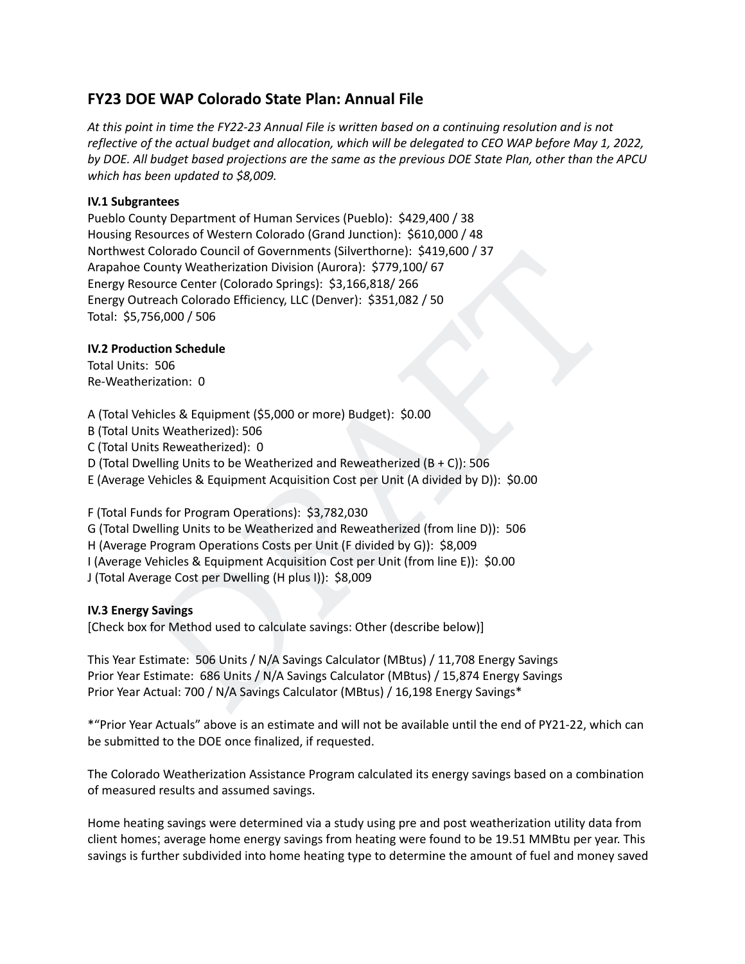# **FY23 DOE WAP Colorado State Plan: Annual File**

At this point in time the FY22-23 Annual File is written based on a continuing resolution and is not reflective of the actual budget and allocation, which will be delegated to CEO WAP before May 1, 2022, by DOE. All budget based projections are the same as the previous DOE State Plan, other than the APCU *which has been updated to \$8,009.*

## **IV.1 Subgrantees**

Pueblo County Department of Human Services (Pueblo): \$429,400 / 38 Housing Resources of Western Colorado (Grand Junction): \$610,000 / 48 Northwest Colorado Council of Governments (Silverthorne): \$419,600 / 37 Arapahoe County Weatherization Division (Aurora): \$779,100/ 67 Energy Resource Center (Colorado Springs): \$3,166,818/ 266 Energy Outreach Colorado Efficiency, LLC (Denver): \$351,082 / 50 Total: \$5,756,000 / 506

## **IV.2 Production Schedule**

Total Units: 506 Re-Weatherization: 0

Colorato Council of Governments (Silverthorne): \$415,600 / 37<br>County Weatherization Division (Aurora): \$779,100/ 67<br>Source Center (Colorado Springs): \$3,166,818/ 266<br>1treach Colorado Efficiency, LLC (Denver): \$351,082 / 50 A (Total Vehicles & Equipment (\$5,000 or more) Budget): \$0.00 B (Total Units Weatherized): 506 C (Total Units Reweatherized): 0 D (Total Dwelling Units to be Weatherized and Reweatherized (B + C)): 506 E (Average Vehicles & Equipment Acquisition Cost per Unit (A divided by D)): \$0.00

F (Total Funds for Program Operations): \$3,782,030 G (Total Dwelling Units to be Weatherized and Reweatherized (from line D)): 506 H (Average Program Operations Costs per Unit (F divided by G)): \$8,009 I (Average Vehicles & Equipment Acquisition Cost per Unit (from line E)): \$0.00 J (Total Average Cost per Dwelling (H plus I)): \$8,009

## **IV.3 Energy Savings**

[Check box for Method used to calculate savings: Other (describe below)]

This Year Estimate: 506 Units / N/A Savings Calculator (MBtus) / 11,708 Energy Savings Prior Year Estimate: 686 Units / N/A Savings Calculator (MBtus) / 15,874 Energy Savings Prior Year Actual: 700 / N/A Savings Calculator (MBtus) / 16,198 Energy Savings\*

\*"Prior Year Actuals" above is an estimate and will not be available until the end of PY21-22, which can be submitted to the DOE once finalized, if requested.

The Colorado Weatherization Assistance Program calculated its energy savings based on a combination of measured results and assumed savings.

Home heating savings were determined via a study using pre and post weatherization utility data from client homes; average home energy savings from heating were found to be 19.51 MMBtu per year. This savings is further subdivided into home heating type to determine the amount of fuel and money saved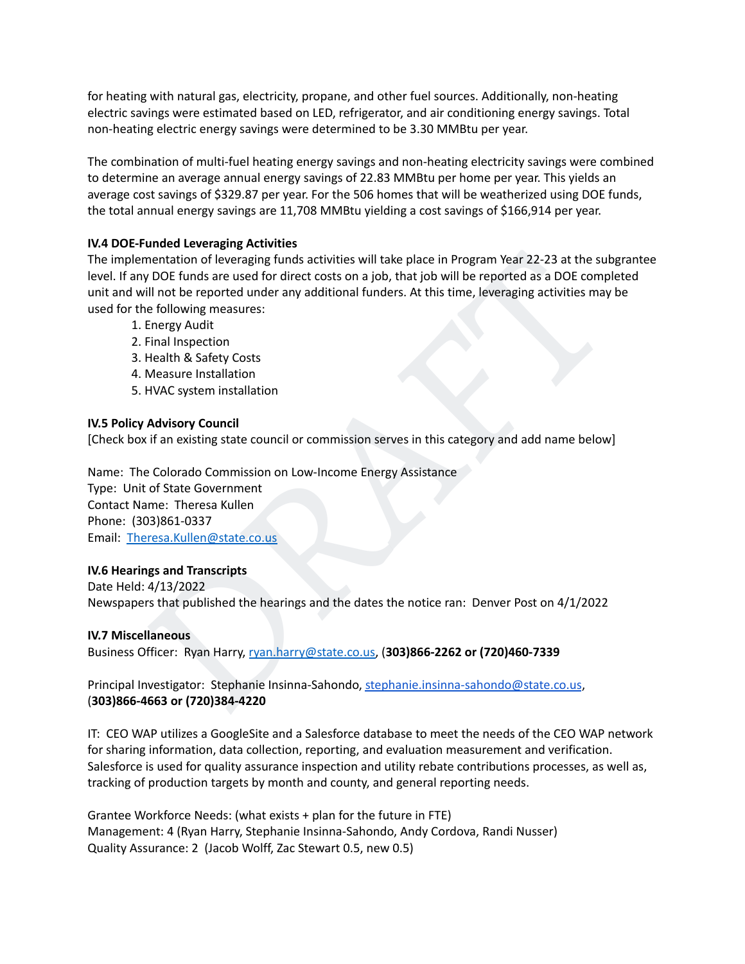for heating with natural gas, electricity, propane, and other fuel sources. Additionally, non-heating electric savings were estimated based on LED, refrigerator, and air conditioning energy savings. Total non-heating electric energy savings were determined to be 3.30 MMBtu per year.

The combination of multi-fuel heating energy savings and non-heating electricity savings were combined to determine an average annual energy savings of 22.83 MMBtu per home per year. This yields an average cost savings of \$329.87 per year. For the 506 homes that will be weatherized using DOE funds, the total annual energy savings are 11,708 MMBtu yielding a cost savings of \$166,914 per year.

## **IV.4 DOE-Funded Leveraging Activities**

uncular correction of leveraging funds activities will take place in Program Year 22-23 at the subgrantee<br>mentation of leveraging funds activities will take place in Program Year 22-23 at the subgrantee<br>iil not be reported The implementation of leveraging funds activities will take place in Program Year 22-23 at the subgrantee level. If any DOE funds are used for direct costs on a job, that job will be reported as a DOE completed unit and will not be reported under any additional funders. At this time, leveraging activities may be used for the following measures:

- 1. Energy Audit
- 2. Final Inspection
- 3. Health & Safety Costs
- 4. Measure Installation
- 5. HVAC system installation

## **IV.5 Policy Advisory Council**

[Check box if an existing state council or commission serves in this category and add name below]

Name: The Colorado Commission on Low-Income Energy Assistance Type: Unit of State Government Contact Name: Theresa Kullen Phone: (303)861-0337 Email: Theresa.Kullen@state.co.us

## **IV.6 Hearings and Transcripts**

Date Held: 4/13/2022 Newspapers that published the hearings and the dates the notice ran: Denver Post on 4/1/2022

## **IV.7 Miscellaneous**

Business Officer: Ryan Harry, ryan.harry@state.co.us, (**303)866-2262 or (720)460-7339**

Principal Investigator: Stephanie Insinna-Sahondo, stephanie.insinna-sahondo@state.co.us, (**303)866-4663 or (720)384-4220**

IT: CEO WAP utilizes a GoogleSite and a Salesforce database to meet the needs of the CEO WAP network for sharing information, data collection, reporting, and evaluation measurement and verification. Salesforce is used for quality assurance inspection and utility rebate contributions processes, as well as, tracking of production targets by month and county, and general reporting needs.

Grantee Workforce Needs: (what exists + plan for the future in FTE) Management: 4 (Ryan Harry, Stephanie Insinna-Sahondo, Andy Cordova, Randi Nusser) Quality Assurance: 2 (Jacob Wolff, Zac Stewart 0.5, new 0.5)